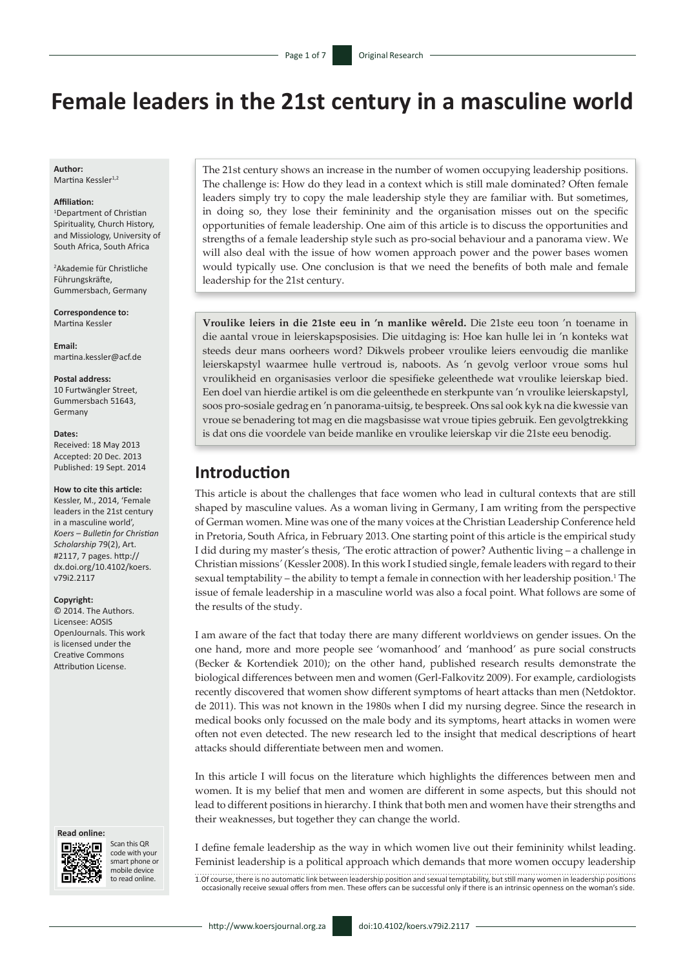# **Female leaders in the 21st century in a masculine world**

**Author:** Martina Kessler<sup>1,2</sup>

#### **Affiliation:**

1 Department of Christian Spirituality, Church History, and Missiology, University of South Africa, South Africa

2 Akademie für Christliche Führungskräfte, Gummersbach, Germany

**Correspondence to:** Martina Kessler

**Email:** [martina.kessler@acf.de](mailto:martina.kessler@acf.de)

#### **Postal address:**

10 Furtwängler Street, Gummersbach 51643, Germany

#### **Dates:**

Received: 18 May 2013 Accepted: 20 Dec. 2013 Published: 19 Sept. 2014

#### **How to cite this article:**

Kessler, M., 2014, 'Female leaders in the 21st century in a masculine world', *Koers – Bulletin for Christian Scholarship* 79(2), Art. #2117, 7 pages. [http://](http://dx.doi.org/10.4102/koers.v79i2.2117) [dx.doi.org/10.4102/koers.](http://dx.doi.org/10.4102/koers.v79i2.2117) [v79i2.2117](http://dx.doi.org/10.4102/koers.v79i2.2117)

#### **Copyright:**

© 2014. The Authors. Licensee: AOSIS OpenJournals. This work is licensed under the Creative Commons Attribution License.

#### **Read online:**



Scan this QR code with your smart phone or mobile device to read online.

The 21st century shows an increase in the number of women occupying leadership positions. The challenge is: How do they lead in a context which is still male dominated? Often female leaders simply try to copy the male leadership style they are familiar with. But sometimes, in doing so, they lose their femininity and the organisation misses out on the specific opportunities of female leadership. One aim of this article is to discuss the opportunities and strengths of a female leadership style such as pro-social behaviour and a panorama view. We will also deal with the issue of how women approach power and the power bases women would typically use. One conclusion is that we need the benefits of both male and female leadership for the 21st century.

**Vroulike leiers in die 21ste eeu in 'n manlike wêreld.** Die 21ste eeu toon 'n toename in die aantal vroue in leierskapsposisies. Die uitdaging is: Hoe kan hulle lei in 'n konteks wat steeds deur mans oorheers word? Dikwels probeer vroulike leiers eenvoudig die manlike leierskapstyl waarmee hulle vertroud is, naboots. As 'n gevolg verloor vroue soms hul vroulikheid en organisasies verloor die spesifieke geleenthede wat vroulike leierskap bied. Een doel van hierdie artikel is om die geleenthede en sterkpunte van 'n vroulike leierskapstyl, soos pro-sosiale gedrag en 'n panorama-uitsig, te bespreek. Ons sal ook kyk na die kwessie van vroue se benadering tot mag en die magsbasisse wat vroue tipies gebruik. Een gevolgtrekking is dat ons die voordele van beide manlike en vroulike leierskap vir die 21ste eeu benodig.

## **Introduction**

This article is about the challenges that face women who lead in cultural contexts that are still shaped by masculine values. As a woman living in Germany, I am writing from the perspective of German women. Mine was one of the many voices at the Christian Leadership Conference held in Pretoria, South Africa, in February 2013. One starting point of this article is the empirical study I did during my master's thesis, 'The erotic attraction of power? Authentic living – a challenge in Christian missions*'* (Kessler 2008). In this work I studied single, female leaders with regard to their sexual temptability – the ability to tempt a female in connection with her leadership position.<sup>1</sup> The issue of female leadership in a masculine world was also a focal point. What follows are some of the results of the study.

I am aware of the fact that today there are many different worldviews on gender issues. On the one hand, more and more people see 'womanhood' and 'manhood' as pure social constructs (Becker & Kortendiek 2010); on the other hand, published research results demonstrate the biological differences between men and women (Gerl-Falkovitz 2009). For example, cardiologists recently discovered that women show different symptoms of heart attacks than men (Netdoktor. de 2011). This was not known in the 1980s when I did my nursing degree. Since the research in medical books only focussed on the male body and its symptoms, heart attacks in women were often not even detected. The new research led to the insight that medical descriptions of heart attacks should differentiate between men and women.

In this article I will focus on the literature which highlights the differences between men and women. It is my belief that men and women are different in some aspects, but this should not lead to different positions in hierarchy. I think that both men and women have their strengths and their weaknesses, but together they can change the world.

I define female leadership as the way in which women live out their femininity whilst leading. Feminist leadership is a political approach which demands that more women occupy leadership 1.0f course, there is no automatic link between leadership position and sexual temptability, but still many women in leadership positions occasionally receive sexual offers from men. These offers can be successful only if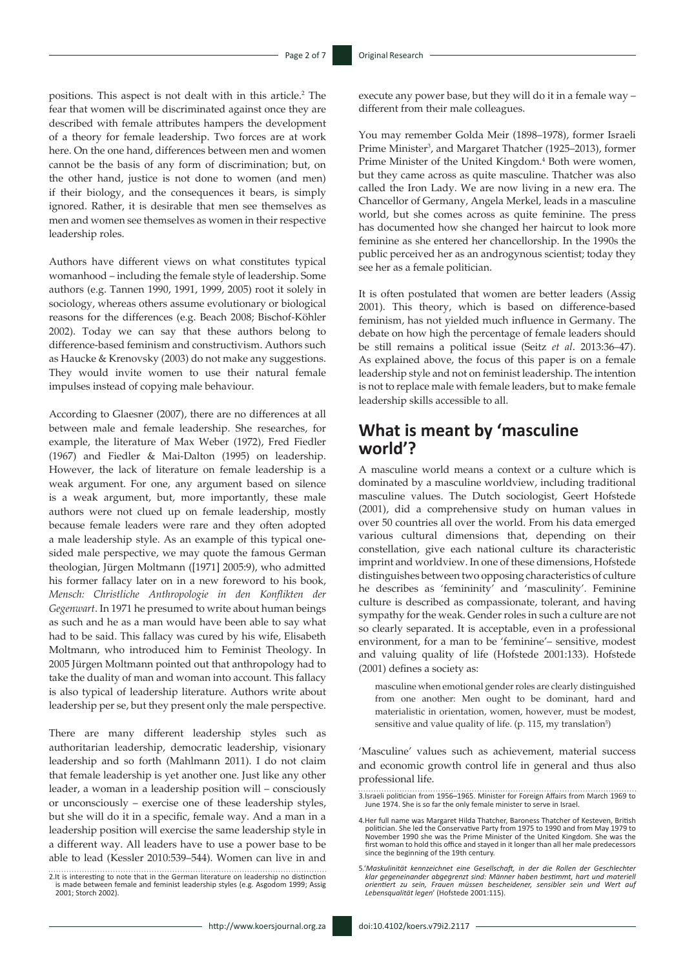positions. This aspect is not dealt with in this article.<sup>2</sup> The fear that women will be discriminated against once they are described with female attributes hampers the development of a theory for female leadership. Two forces are at work here. On the one hand, differences between men and women cannot be the basis of any form of discrimination; but, on the other hand, justice is not done to women (and men) if their biology, and the consequences it bears, is simply ignored. Rather, it is desirable that men see themselves as men and women see themselves as women in their respective leadership roles.

Authors have different views on what constitutes typical womanhood – including the female style of leadership. Some authors (e.g. Tannen 1990, 1991, 1999, 2005) root it solely in sociology, whereas others assume evolutionary or biological reasons for the differences (e.g. Beach 2008; Bischof-Köhler 2002). Today we can say that these authors belong to difference-based feminism and constructivism. Authors such as Haucke & Krenovsky (2003) do not make any suggestions. They would invite women to use their natural female impulses instead of copying male behaviour.

According to Glaesner (2007), there are no differences at all between male and female leadership. She researches, for example, the literature of Max Weber (1972), Fred Fiedler (1967) and Fiedler & Mai-Dalton (1995) on leadership. However, the lack of literature on female leadership is a weak argument. For one, any argument based on silence is a weak argument, but, more importantly, these male authors were not clued up on female leadership, mostly because female leaders were rare and they often adopted a male leadership style. As an example of this typical onesided male perspective, we may quote the famous German theologian, Jürgen Moltmann ([1971] 2005:9), who admitted his former fallacy later on in a new foreword to his book, *Mensch: Christliche Anthropologie in den Konflikten der Gegenwart*. In 1971 he presumed to write about human beings as such and he as a man would have been able to say what had to be said. This fallacy was cured by his wife, Elisabeth Moltmann, who introduced him to Feminist Theology. In 2005 Jürgen Moltmann pointed out that anthropology had to take the duality of man and woman into account. This fallacy is also typical of leadership literature. Authors write about leadership per se, but they present only the male perspective.

There are many different leadership styles such as authoritarian leadership, democratic leadership, visionary leadership and so forth (Mahlmann 2011). I do not claim that female leadership is yet another one. Just like any other leader, a woman in a leadership position will – consciously or unconsciously – exercise one of these leadership styles, but she will do it in a specific, female way. And a man in a leadership position will exercise the same leadership style in a different way. All leaders have to use a power base to be able to lead (Kessler 2010:539–544). Women can live in and

2.It is interesting to note that in the German literature on leadership no distinction is made between female and feminist leadership styles (e.g. Asgodom 1999; Assig 2001; Storch 2002).

execute any power base, but they will do it in a female way – different from their male colleagues.

You may remember Golda Meir (1898–1978), former Israeli Prime Minister<sup>3</sup>, and Margaret Thatcher (1925–2013), former Prime Minister of the United Kingdom.<sup>4</sup> Both were women, but they came across as quite masculine. Thatcher was also called the Iron Lady. We are now living in a new era. The Chancellor of Germany, Angela Merkel, leads in a masculine world, but she comes across as quite feminine. The press has documented how she changed her haircut to look more feminine as she entered her chancellorship. In the 1990s the public perceived her as an androgynous scientist; today they see her as a female politician.

It is often postulated that women are better leaders (Assig 2001). This theory, which is based on difference-based feminism, has not yielded much influence in Germany. The debate on how high the percentage of female leaders should be still remains a political issue (Seitz *et al*. 2013:36–47). As explained above, the focus of this paper is on a female leadership style and not on feminist leadership. The intention is not to replace male with female leaders, but to make female leadership skills accessible to all.

## **What is meant by 'masculine world'?**

A masculine world means a context or a culture which is dominated by a masculine worldview, including traditional masculine values. The Dutch sociologist, Geert Hofstede (2001), did a comprehensive study on human values in over 50 countries all over the world. From his data emerged various cultural dimensions that, depending on their constellation, give each national culture its characteristic imprint and worldview. In one of these dimensions, Hofstede distinguishes between two opposing characteristics of culture he describes as 'femininity' and 'masculinity'. Feminine culture is described as compassionate, tolerant, and having sympathy for the weak. Gender roles in such a culture are not so clearly separated. It is acceptable, even in a professional environment, for a man to be 'feminine'– sensitive, modest and valuing quality of life (Hofstede 2001:133). Hofstede (2001) defines a society as:

masculine when emotional gender roles are clearly distinguished from one another: Men ought to be dominant, hard and materialistic in orientation, women, however, must be modest, sensitive and value quality of life. (p. 115, my translation<sup>5</sup>)

'Masculine' values such as achievement, material success and economic growth control life in general and thus also professional life.

<sup>3.</sup>Israeli politician from 1956–1965. Minister for Foreign Affairs from March 1969 to June 1974. She is so far the only female minister to serve in Israel.

<sup>4.</sup>Her full name was Margaret Hilda Thatcher, Baroness Thatcher of Kesteven, British politician. She led the Conservative Party from 1975 to 1990 and from May 1979 to November 1990 she was the Prime Minister of the United Kingdom. She was the first woman to hold this office and stayed in it longer than all her male predecessors since the beginning of the 19th century.

<sup>5.&#</sup>x27;Maskulinität kennzeichnet eine Gesellschaft, in der die Rollen der Geschlechter<br>klar gegeneinander abgegrenzt sind: Männer haben bestimmt, hart und materiell<br>orientiert zu sein, Frauen müssen bescheidener, sensibler sei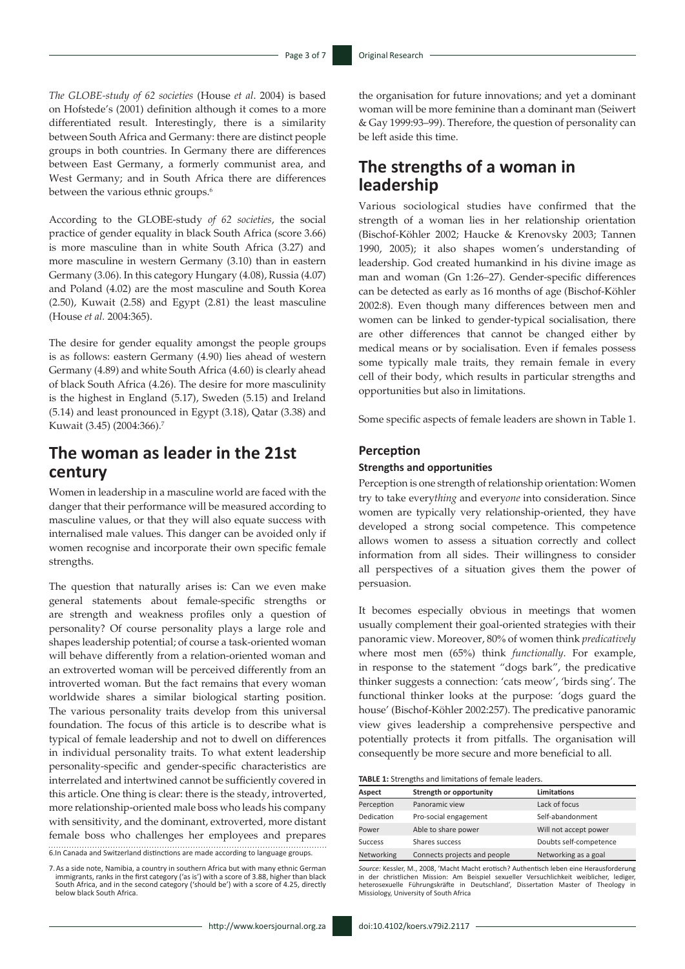*The GLOBE-study of 62 societies* (House *et al*. 2004) is based on Hofstede's (2001) definition although it comes to a more differentiated result. Interestingly, there is a similarity between South Africa and Germany: there are distinct people groups in both countries. In Germany there are differences between East Germany, a formerly communist area, and West Germany; and in South Africa there are differences between the various ethnic groups.<sup>6</sup>

According to the GLOBE-study *of 62 societies*, the social practice of gender equality in black South Africa (score 3.66) is more masculine than in white South Africa (3.27) and more masculine in western Germany (3.10) than in eastern Germany (3.06). In this category Hungary (4.08), Russia (4.07) and Poland (4.02) are the most masculine and South Korea (2.50), Kuwait (2.58) and Egypt (2.81) the least masculine (House *et al.* 2004:365).

The desire for gender equality amongst the people groups is as follows: eastern Germany (4.90) lies ahead of western Germany (4.89) and white South Africa (4.60) is clearly ahead of black South Africa (4.26). The desire for more masculinity is the highest in England (5.17), Sweden (5.15) and Ireland (5.14) and least pronounced in Egypt (3.18), Qatar (3.38) and Kuwait (3.45) (2004:366).7

## **The woman as leader in the 21st century**

Women in leadership in a masculine world are faced with the danger that their performance will be measured according to masculine values, or that they will also equate success with internalised male values. This danger can be avoided only if women recognise and incorporate their own specific female strengths.

The question that naturally arises is: Can we even make general statements about female-specific strengths or are strength and weakness profiles only a question of personality? Of course personality plays a large role and shapes leadership potential; of course a task-oriented woman will behave differently from a relation-oriented woman and an extroverted woman will be perceived differently from an introverted woman. But the fact remains that every woman worldwide shares a similar biological starting position. The various personality traits develop from this universal foundation. The focus of this article is to describe what is typical of female leadership and not to dwell on differences in individual personality traits. To what extent leadership personality-specific and gender-specific characteristics are interrelated and intertwined cannot be sufficiently covered in this article. One thing is clear: there is the steady, introverted, more relationship-oriented male boss who leads his company with sensitivity, and the dominant, extroverted, more distant female boss who challenges her employees and prepares 6.In Canada and Switzerland distinctions are made according to language groups.

7.As a side note, Namibia, a country in southern Africa but with many ethnic German immigrants, ranks in the first category ('as is') with a score of 3.88, higher than black<br>South Africa, and in the second category ('should be') with a score of 4.25, directly below black South Africa.

the organisation for future innovations; and yet a dominant woman will be more feminine than a dominant man (Seiwert & Gay 1999:93–99). Therefore, the question of personality can be left aside this time.

## **The strengths of a woman in leadership**

Various sociological studies have confirmed that the strength of a woman lies in her relationship orientation (Bischof-Köhler 2002; Haucke & Krenovsky 2003; Tannen 1990, 2005); it also shapes women's understanding of leadership. God created humankind in his divine image as man and woman (Gn 1:26–27). Gender-specific differences can be detected as early as 16 months of age (Bischof-Köhler 2002:8). Even though many differences between men and women can be linked to gender-typical socialisation, there are other differences that cannot be changed either by medical means or by socialisation. Even if females possess some typically male traits, they remain female in every cell of their body, which results in particular strengths and opportunities but also in limitations.

Some specific aspects of female leaders are shown in Table 1.

### **Perception**

#### **Strengths and opportunities**

Perception is one strength of relationship orientation: Women try to take every*thing* and every*one* into consideration. Since women are typically very relationship-oriented, they have developed a strong social competence. This competence allows women to assess a situation correctly and collect information from all sides. Their willingness to consider all perspectives of a situation gives them the power of persuasion.

It becomes especially obvious in meetings that women usually complement their goal-oriented strategies with their panoramic view. Moreover, 80% of women think *predicatively*  where most men (65%) think *functionally*. For example, in response to the statement "dogs bark", the predicative thinker suggests a connection: 'cats meow', 'birds sing'. The functional thinker looks at the purpose: 'dogs guard the house' (Bischof-Köhler 2002:257). The predicative panoramic view gives leadership a comprehensive perspective and potentially protects it from pitfalls. The organisation will consequently be more secure and more beneficial to all.

#### **TABLE 1:** Strengths and limitations of female leaders.

| Aspect         | Strength or opportunity      | <b>Limitations</b>     |
|----------------|------------------------------|------------------------|
| Perception     | Panoramic view               | Lack of focus          |
| Dedication     | Pro-social engagement        | Self-abandonment       |
| Power          | Able to share power          | Will not accept power  |
| <b>Success</b> | Shares success               | Doubts self-competence |
| Networking     | Connects projects and people | Networking as a goal   |

*Source:* Kessler, M., 2008, 'Macht Macht erotisch? Authentisch leben eine Herausforderung in der christlichen Mission: Am Beispiel sexueller Versuchlichkeit weiblicher, lediger, heterosexuelle Führungskräfte in Deutschland', Dissertation Master of Theology in Missiology, University of South Africa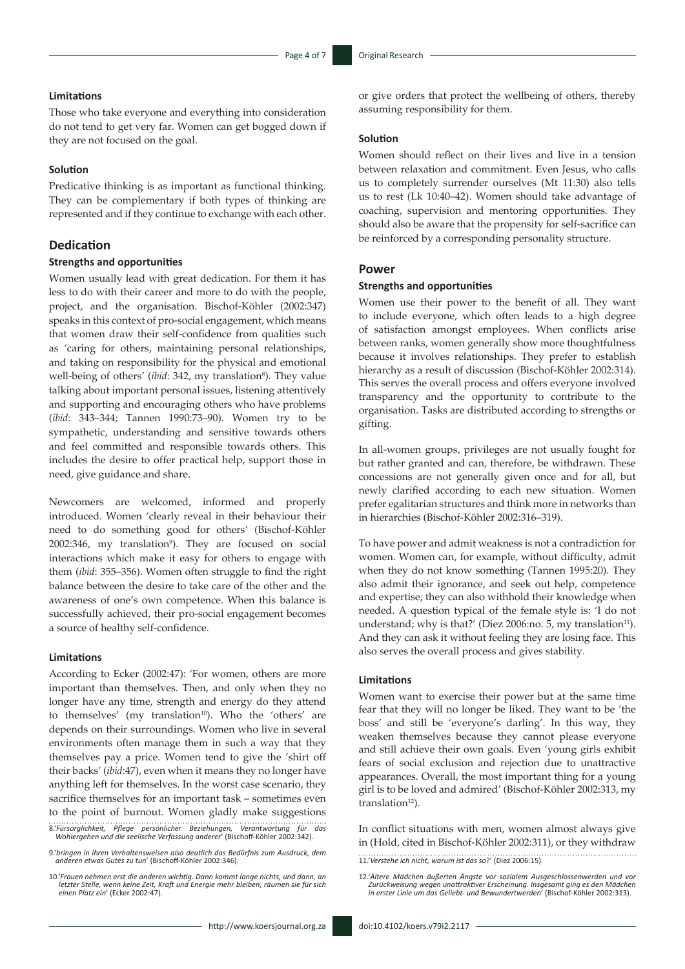### **Limitations**

Those who take everyone and everything into consideration do not tend to get very far. Women can get bogged down if they are not focused on the goal.

### **Solution**

Predicative thinking is as important as functional thinking. They can be complementary if both types of thinking are represented and if they continue to exchange with each other.

## **Dedication**

### **Strengths and opportunities**

Women usually lead with great dedication. For them it has less to do with their career and more to do with the people, project, and the organisation. Bischof-Köhler (2002:347) speaks in this context of pro-social engagement, which means that women draw their self-confidence from qualities such as 'caring for others, maintaining personal relationships, and taking on responsibility for the physical and emotional well-being of others' (*ibid*: 342, my translation<sup>8</sup>). They value talking about important personal issues, listening attentively and supporting and encouraging others who have problems (*ibid*: 343–344; Tannen 1990:73–90). Women try to be sympathetic, understanding and sensitive towards others and feel committed and responsible towards others. This includes the desire to offer practical help, support those in need, give guidance and share.

Newcomers are welcomed, informed and properly introduced. Women 'clearly reveal in their behaviour their need to do something good for others' (Bischof-Köhler 2002:346, my translation<sup>9</sup>). They are focused on social interactions which make it easy for others to engage with them (*ibid*: 355–356). Women often struggle to find the right balance between the desire to take care of the other and the awareness of one's own competence. When this balance is successfully achieved, their pro-social engagement becomes a source of healthy self-confidence.

### **Limitations**

According to Ecker (2002:47): 'For women, others are more important than themselves. Then, and only when they no longer have any time, strength and energy do they attend to themselves' (my translation<sup>10</sup>). Who the 'others' are depends on their surroundings. Women who live in several environments often manage them in such a way that they themselves pay a price. Women tend to give the 'shirt off their backs' (*ibid*:47), even when it means they no longer have anything left for themselves. In the worst case scenario, they sacrifice themselves for an important task – sometimes even to the point of burnout. Women gladly make suggestions

8.'*Fürsorglichkeit, Pflege persönlicher Beziehungen, Verantwortung für das Wohlergehen und die seelische Verfassung anderer*' (Bischoff-Köhler 2002:342).

9.'*bringen in ihren Verhaltensweisen also deutlich das Bedürfnis zum Ausdruck, dem anderen etwas Gutes zu tun*' (Bischoff-Köhler 2002:346).

10.'*Frauen nehmen erst die anderen wichtig. Dann kommt lange nichts, und dann, an letzter Stelle, wenn keine Zeit, Kraft und Energie mehr bleiben, räumen sie für sich einen Platz ein*' (Ecker 2002:47). or give orders that protect the wellbeing of others, thereby assuming responsibility for them.

### **Solution**

Women should reflect on their lives and live in a tension between relaxation and commitment. Even Jesus, who calls us to completely surrender ourselves (Mt 11:30) also tells us to rest (Lk 10:40–42). Women should take advantage of coaching, supervision and mentoring opportunities. They should also be aware that the propensity for self-sacrifice can be reinforced by a corresponding personality structure.

### **Power**

#### **Strengths and opportunities**

Women use their power to the benefit of all. They want to include everyone, which often leads to a high degree of satisfaction amongst employees. When conflicts arise between ranks, women generally show more thoughtfulness because it involves relationships. They prefer to establish hierarchy as a result of discussion (Bischof-Köhler 2002:314). This serves the overall process and offers everyone involved transparency and the opportunity to contribute to the organisation. Tasks are distributed according to strengths or gifting.

In all-women groups, privileges are not usually fought for but rather granted and can, therefore, be withdrawn. These concessions are not generally given once and for all, but newly clarified according to each new situation. Women prefer egalitarian structures and think more in networks than in hierarchies (Bischof-Köhler 2002:316–319).

To have power and admit weakness is not a contradiction for women. Women can, for example, without difficulty, admit when they do not know something (Tannen 1995:20). They also admit their ignorance, and seek out help, competence and expertise; they can also withhold their knowledge when needed. A question typical of the female style is: 'I do not understand; why is that?' (Diez 2006:no. 5, my translation<sup>11</sup>). And they can ask it without feeling they are losing face. This also serves the overall process and gives stability.

### **Limitations**

Women want to exercise their power but at the same time fear that they will no longer be liked. They want to be 'the boss' and still be 'everyone's darling'. In this way, they weaken themselves because they cannot please everyone and still achieve their own goals. Even 'young girls exhibit fears of social exclusion and rejection due to unattractive appearances. Overall, the most important thing for a young girl is to be loved and admired' (Bischof-Köhler 2002:313, my translation $12$ ).

In conflict situations with men, women almost always give in (Hold, cited in Bischof-Köhler 2002:311), or they withdraw

11.'*Verstehe ich nicht, warum ist das so*?' (Diez 2006:15).

12.'*Ältere Mädchen äußerten Ängste vor sozialem Ausgeschlossenwerden und vor Zurückweisung wegen unattraktiver Erscheinung. Insgesamt ging es den Mädchen in erster Linie um das Geliebt- und Bewundertwerden*' (Bischof-Köhler 2002:313).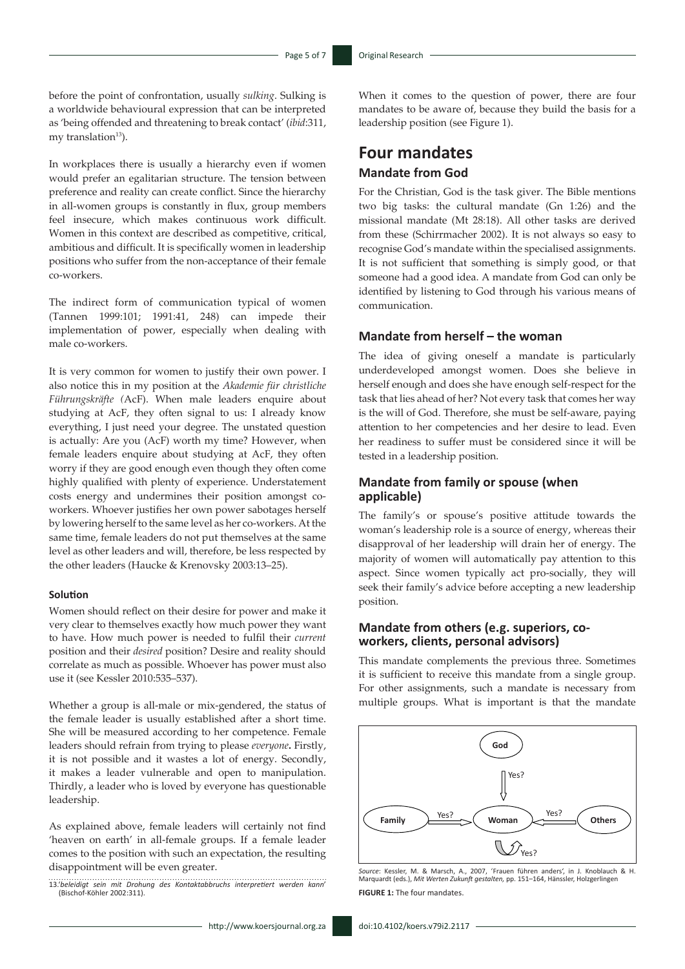before the point of confrontation, usually *sulking*. Sulking is a worldwide behavioural expression that can be interpreted as 'being offended and threatening to break contact' (*ibid*:311, my translation $13$ ).

In workplaces there is usually a hierarchy even if women would prefer an egalitarian structure. The tension between preference and reality can create conflict. Since the hierarchy in all-women groups is constantly in flux, group members feel insecure, which makes continuous work difficult. Women in this context are described as competitive, critical, ambitious and difficult. It is specifically women in leadership positions who suffer from the non-acceptance of their female co-workers.

The indirect form of communication typical of women (Tannen 1999:101; 1991:41, 248) can impede their implementation of power, especially when dealing with male co-workers.

It is very common for women to justify their own power. I also notice this in my position at the *Akademie für christliche Führungskräfte (*AcF). When male leaders enquire about studying at AcF, they often signal to us: I already know everything, I just need your degree. The unstated question is actually: Are you (AcF) worth my time? However, when female leaders enquire about studying at AcF, they often worry if they are good enough even though they often come highly qualified with plenty of experience. Understatement costs energy and undermines their position amongst coworkers. Whoever justifies her own power sabotages herself by lowering herself to the same level as her co-workers. At the same time, female leaders do not put themselves at the same level as other leaders and will, therefore, be less respected by the other leaders (Haucke & Krenovsky 2003:13–25).

### **Solution**

Women should reflect on their desire for power and make it very clear to themselves exactly how much power they want to have. How much power is needed to fulfil their *current*  position and their *desired* position? Desire and reality should correlate as much as possible. Whoever has power must also use it (see Kessler 2010:535–537).

Whether a group is all-male or mix-gendered, the status of the female leader is usually established after a short time. She will be measured according to her competence. Female leaders should refrain from trying to please *everyone***.** Firstly, it is not possible and it wastes a lot of energy. Secondly, it makes a leader vulnerable and open to manipulation. Thirdly, a leader who is loved by everyone has questionable leadership.

As explained above, female leaders will certainly not find 'heaven on earth' in all-female groups. If a female leader comes to the position with such an expectation, the resulting disappointment will be even greater.

13.'*beleidigt sein mit Drohung des Kontaktabbruchs interpretiert werden kann*' (Bischof-Köhler 2002:311).

When it comes to the question of power, there are four mandates to be aware of, because they build the basis for a leadership position (see Figure 1).

## **Four mandates Mandate from God**

For the Christian, God is the task giver. The Bible mentions two big tasks: the cultural mandate (Gn 1:26) and the missional mandate (Mt 28:18). All other tasks are derived from these (Schirrmacher 2002). It is not always so easy to recognise God's mandate within the specialised assignments. It is not sufficient that something is simply good, or that someone had a good idea. A mandate from God can only be identified by listening to God through his various means of communication.

## **Mandate from herself – the woman**

The idea of giving oneself a mandate is particularly underdeveloped amongst women. Does she believe in herself enough and does she have enough self-respect for the task that lies ahead of her? Not every task that comes her way is the will of God. Therefore, she must be self-aware, paying attention to her competencies and her desire to lead. Even her readiness to suffer must be considered since it will be tested in a leadership position.

## **Mandate from family or spouse (when applicable)**

The family's or spouse's positive attitude towards the woman's leadership role is a source of energy, whereas their disapproval of her leadership will drain her of energy. The majority of women will automatically pay attention to this aspect. Since women typically act pro-socially, they will seek their family's advice before accepting a new leadership position.

## **Mandate from others (e.g. superiors, coworkers, clients, personal advisors)**

This mandate complements the previous three. Sometimes **Figure 1** it is sufficient to receive this mandate from a single group. For other assignments, such a mandate is necessary from multiple groups. What is important is that the mandate



*Source*: Kessler, M. & Marsch, A., 2007, 'Frauen führen anders', in J. Knoblauch & H. Marquardt (eds.), *Mit Werten Zukunft gestalten,* pp. 151–164, Hänssler, Holzgerlingen **FIGURE 1:** The four mandates. **FIGURE 1:** The four mandates. **Source: A.**, The four financiales.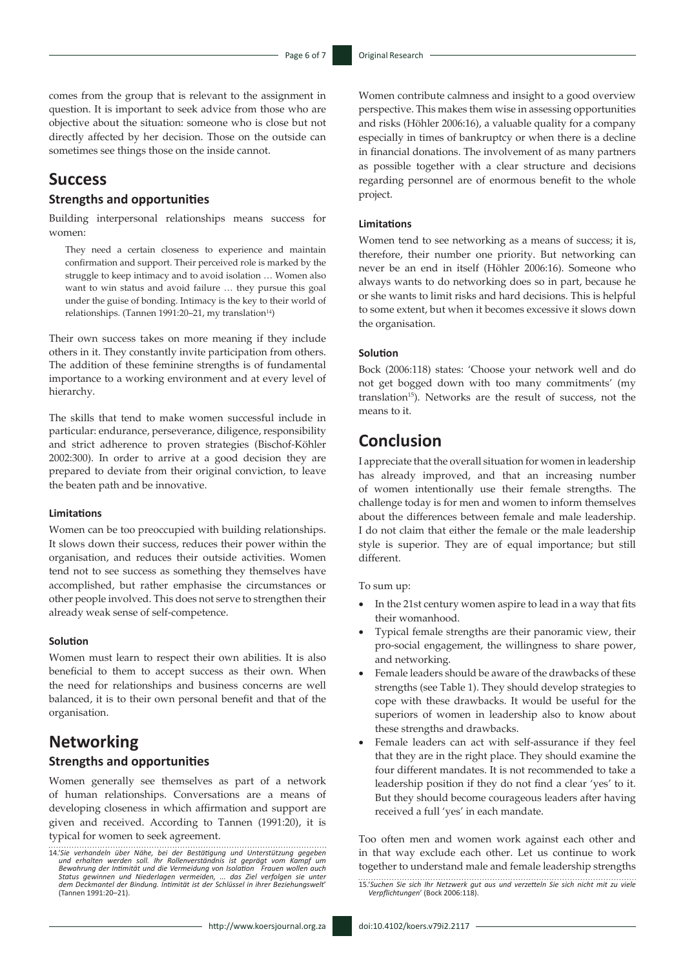comes from the group that is relevant to the assignment in question. It is important to seek advice from those who are objective about the situation: someone who is close but not directly affected by her decision. Those on the outside can sometimes see things those on the inside cannot.

## **Success**

## **Strengths and opportunities**

Building interpersonal relationships means success for women:

They need a certain closeness to experience and maintain confirmation and support. Their perceived role is marked by the struggle to keep intimacy and to avoid isolation … Women also want to win status and avoid failure … they pursue this goal under the guise of bonding. Intimacy is the key to their world of relationships. (Tannen 1991:20-21, my translation<sup>14</sup>)

Their own success takes on more meaning if they include others in it. They constantly invite participation from others. The addition of these feminine strengths is of fundamental importance to a working environment and at every level of hierarchy.

The skills that tend to make women successful include in particular: endurance, perseverance, diligence, responsibility and strict adherence to proven strategies (Bischof-Köhler 2002:300). In order to arrive at a good decision they are prepared to deviate from their original conviction, to leave the beaten path and be innovative.

### **Limitations**

Women can be too preoccupied with building relationships. It slows down their success, reduces their power within the organisation, and reduces their outside activities. Women tend not to see success as something they themselves have accomplished, but rather emphasise the circumstances or other people involved. This does not serve to strengthen their already weak sense of self-competence.

#### **Solution**

Women must learn to respect their own abilities. It is also beneficial to them to accept success as their own. When the need for relationships and business concerns are well balanced, it is to their own personal benefit and that of the organisation.

## **Networking**

## **Strengths and opportunities**

Women generally see themselves as part of a network of human relationships. Conversations are a means of developing closeness in which affirmation and support are given and received. According to Tannen (1991:20), it is typical for women to seek agreement.

Women contribute calmness and insight to a good overview perspective. This makes them wise in assessing opportunities and risks (Höhler 2006:16), a valuable quality for a company especially in times of bankruptcy or when there is a decline in financial donations. The involvement of as many partners as possible together with a clear structure and decisions regarding personnel are of enormous benefit to the whole project.

### **Limitations**

Women tend to see networking as a means of success; it is, therefore, their number one priority. But networking can never be an end in itself (Höhler 2006:16). Someone who always wants to do networking does so in part, because he or she wants to limit risks and hard decisions. This is helpful to some extent, but when it becomes excessive it slows down the organisation.

#### **Solution**

Bock (2006:118) states: 'Choose your network well and do not get bogged down with too many commitments' (my translation<sup>15</sup>). Networks are the result of success, not the means to it.

## **Conclusion**

I appreciate that the overall situation for women in leadership has already improved, and that an increasing number of women intentionally use their female strengths. The challenge today is for men and women to inform themselves about the differences between female and male leadership. I do not claim that either the female or the male leadership style is superior. They are of equal importance; but still different.

To sum up:

- In the 21st century women aspire to lead in a way that fits their womanhood.
- Typical female strengths are their panoramic view, their pro-social engagement, the willingness to share power, and networking.
- Female leaders should be aware of the drawbacks of these strengths (see Table 1). They should develop strategies to cope with these drawbacks. It would be useful for the superiors of women in leadership also to know about these strengths and drawbacks.
- Female leaders can act with self-assurance if they feel that they are in the right place. They should examine the four different mandates. It is not recommended to take a leadership position if they do not find a clear 'yes' to it. But they should become courageous leaders after having received a full 'yes' in each mandate.

Too often men and women work against each other and in that way exclude each other. Let us continue to work together to understand male and female leadership strengths

15.'*Suchen Sie sich Ihr Netzwerk gut aus und verzetteln Sie sich nicht mit zu viele Verpflichtungen*' (Bock 2006:118).

<sup>14.&#</sup>x27;Sie verhandeln über Nähe, bei der Bestätigung und Unterstützung gegeben<br>und erhalten werden soll. Ihr Rollenverständnis ist geprägt vom Kampf um<br>Bewahrung der Intimität und die Vermeidung von Isolation Frauen wollen a *dem Deckmantel der Bindung. Intimität ist der Schlüssel in ihrer Beziehungswelt*' (Tannen 1991:20–21).